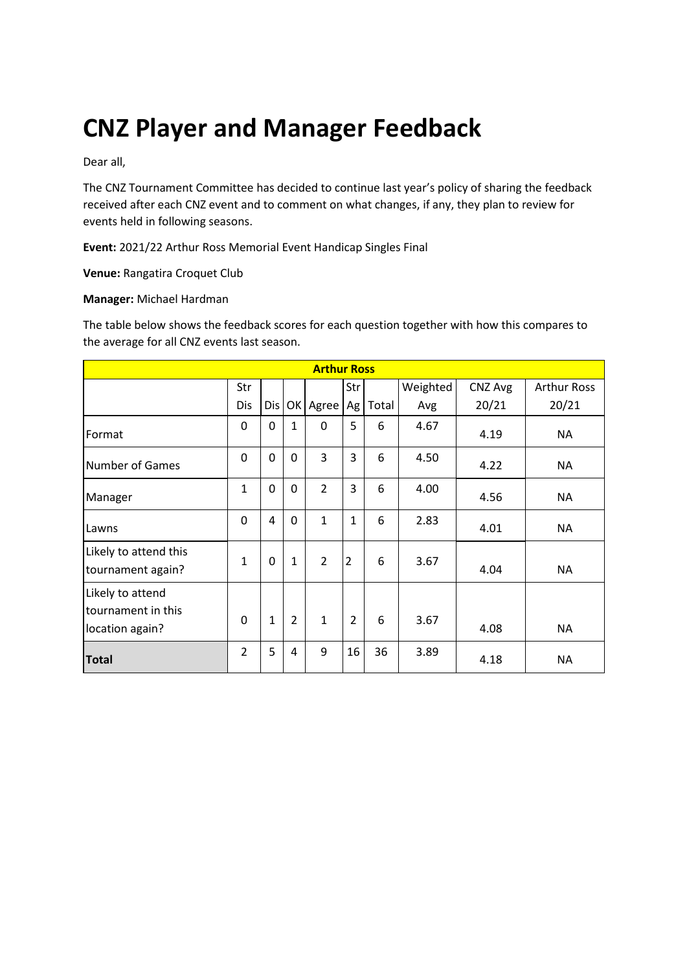# **CNZ Player and Manager Feedback**

Dear all,

The CNZ Tournament Committee has decided to continue last year's policy of sharing the feedback received after each CNZ event and to comment on what changes, if any, they plan to review for events held in following seasons.

**Event:** 2021/22 Arthur Ross Memorial Event Handicap Singles Final

**Venue:** Rangatira Croquet Club

#### **Manager:** Michael Hardman

The table below shows the feedback scores for each question together with how this compares to the average for all CNZ events last season.

| <b>Arthur Ross</b>                                        |                |              |                |                |                |       |          |         |                    |
|-----------------------------------------------------------|----------------|--------------|----------------|----------------|----------------|-------|----------|---------|--------------------|
|                                                           | Str            |              |                |                | Str            |       | Weighted | CNZ Avg | <b>Arthur Ross</b> |
|                                                           | Dis            | Dis          |                | OK Agree       | Ag             | Total | Avg      | 20/21   | 20/21              |
| Format                                                    | 0              | 0            | $\mathbf{1}$   | $\mathbf{0}$   | 5              | 6     | 4.67     | 4.19    | <b>NA</b>          |
| <b>Number of Games</b>                                    | 0              | 0            | 0              | 3              | 3              | 6     | 4.50     | 4.22    | <b>NA</b>          |
| Manager                                                   | 1              | 0            | $\mathbf 0$    | $\overline{2}$ | 3              | 6     | 4.00     | 4.56    | <b>NA</b>          |
| Lawns                                                     | 0              | 4            | 0              | $\mathbf{1}$   | $\mathbf{1}$   | 6     | 2.83     | 4.01    | <b>NA</b>          |
| Likely to attend this<br>tournament again?                | 1              | 0            | $\mathbf{1}$   | $\overline{2}$ | $\overline{2}$ | 6     | 3.67     | 4.04    | <b>NA</b>          |
| Likely to attend<br>tournament in this<br>location again? | $\Omega$       | $\mathbf{1}$ | $\overline{2}$ | $\mathbf{1}$   | $\overline{2}$ | 6     | 3.67     | 4.08    | <b>NA</b>          |
| <b>Total</b>                                              | $\overline{2}$ | 5            | 4              | 9              | 16             | 36    | 3.89     | 4.18    | <b>NA</b>          |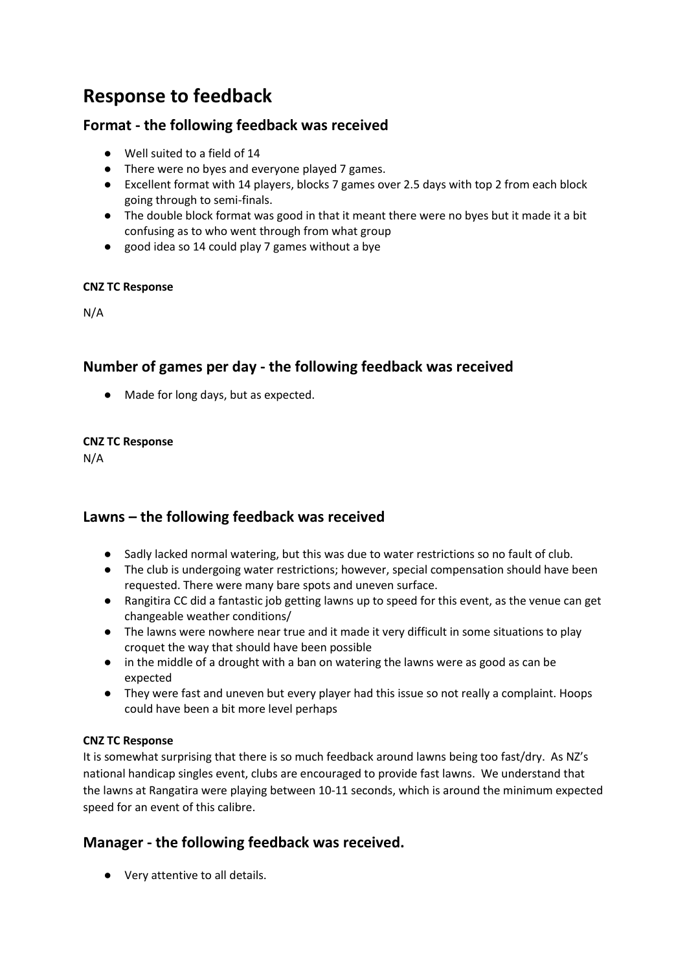# **Response to feedback**

# **Format - the following feedback was received**

- Well suited to a field of 14
- There were no byes and everyone played 7 games.
- Excellent format with 14 players, blocks 7 games over 2.5 days with top 2 from each block going through to semi-finals.
- The double block format was good in that it meant there were no byes but it made it a bit confusing as to who went through from what group
- good idea so 14 could play 7 games without a bye

#### **CNZ TC Response**

N/A

# **Number of games per day - the following feedback was received**

● Made for long days, but as expected.

#### **CNZ TC Response**

N/A

## **Lawns – the following feedback was received**

- Sadly lacked normal watering, but this was due to water restrictions so no fault of club.
- The club is undergoing water restrictions; however, special compensation should have been requested. There were many bare spots and uneven surface.
- Rangitira CC did a fantastic job getting lawns up to speed for this event, as the venue can get changeable weather conditions/
- The lawns were nowhere near true and it made it very difficult in some situations to play croquet the way that should have been possible
- in the middle of a drought with a ban on watering the lawns were as good as can be expected
- They were fast and uneven but every player had this issue so not really a complaint. Hoops could have been a bit more level perhaps

### **CNZ TC Response**

It is somewhat surprising that there is so much feedback around lawns being too fast/dry. As NZ's national handicap singles event, clubs are encouraged to provide fast lawns. We understand that the lawns at Rangatira were playing between 10-11 seconds, which is around the minimum expected speed for an event of this calibre.

# **Manager - the following feedback was received.**

● Very attentive to all details.